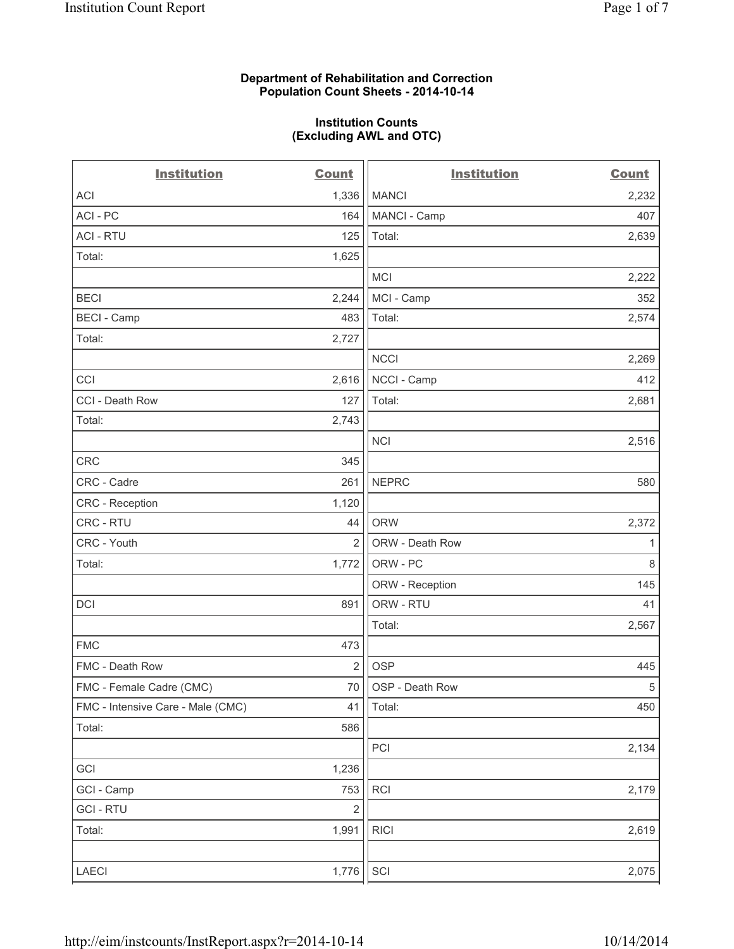### **Department of Rehabilitation and Correction Population Count Sheets - 2014-10-14**

### **Institution Counts (Excluding AWL and OTC)**

| <b>Institution</b>                | <b>Count</b>   | <b>Institution</b> | <b>Count</b> |
|-----------------------------------|----------------|--------------------|--------------|
| <b>ACI</b>                        | 1,336          | <b>MANCI</b>       | 2,232        |
| ACI - PC                          | 164            | MANCI - Camp       | 407          |
| <b>ACI - RTU</b>                  | 125            | Total:             | 2,639        |
| Total:                            | 1,625          |                    |              |
|                                   |                | <b>MCI</b>         | 2,222        |
| <b>BECI</b>                       | 2,244          | MCI - Camp         | 352          |
| <b>BECI - Camp</b>                | 483            | Total:             | 2,574        |
| Total:                            | 2,727          |                    |              |
|                                   |                | <b>NCCI</b>        | 2,269        |
| CCI                               | 2,616          | NCCI - Camp        | 412          |
| CCI - Death Row                   | 127            | Total:             | 2,681        |
| Total:                            | 2,743          |                    |              |
|                                   |                | <b>NCI</b>         | 2,516        |
| CRC                               | 345            |                    |              |
| CRC - Cadre                       | 261            | <b>NEPRC</b>       | 580          |
| <b>CRC</b> - Reception            | 1,120          |                    |              |
| CRC - RTU                         | 44             | <b>ORW</b>         | 2,372        |
| CRC - Youth                       | $\overline{2}$ | ORW - Death Row    | 1            |
| Total:                            | 1,772          | ORW - PC           | $\,8\,$      |
|                                   |                | ORW - Reception    | 145          |
| DCI                               | 891            | ORW - RTU          | 41           |
|                                   |                | Total:             | 2,567        |
| <b>FMC</b>                        | 473            |                    |              |
| FMC - Death Row                   | $\overline{2}$ | <b>OSP</b>         | 445          |
| FMC - Female Cadre (CMC)          | 70             | OSP - Death Row    | $\,$ 5 $\,$  |
| FMC - Intensive Care - Male (CMC) | 41             | Total:             | 450          |
| Total:                            | 586            |                    |              |
|                                   |                | PCI                | 2,134        |
| GCI                               | 1,236          |                    |              |
| GCI - Camp                        | 753            | <b>RCI</b>         | 2,179        |
| <b>GCI - RTU</b>                  | $\overline{2}$ |                    |              |
| Total:                            | 1,991          | <b>RICI</b>        | 2,619        |
| LAECI                             | 1,776          | SCI                | 2,075        |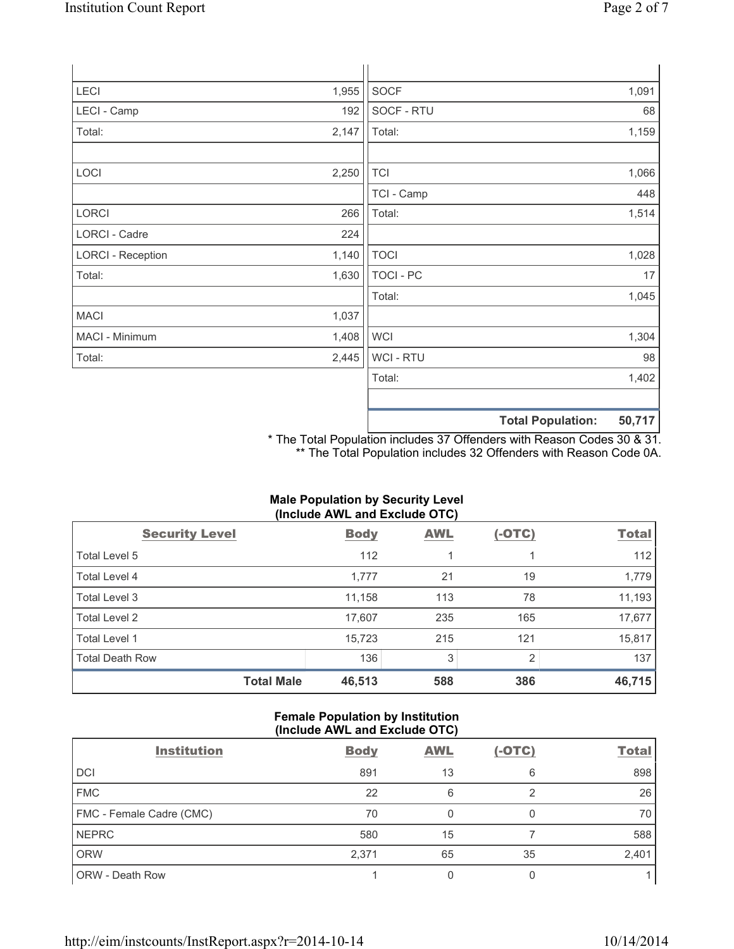| LECI                     | 1,955 | <b>SOCF</b>      | 1,091                             |
|--------------------------|-------|------------------|-----------------------------------|
| LECI - Camp              | 192   | SOCF - RTU       | 68                                |
| Total:                   | 2,147 | Total:           | 1,159                             |
|                          |       |                  |                                   |
| LOCI                     | 2,250 | <b>TCI</b>       | 1,066                             |
|                          |       | TCI - Camp       | 448                               |
| <b>LORCI</b>             | 266   | Total:           | 1,514                             |
| LORCI - Cadre            | 224   |                  |                                   |
| <b>LORCI - Reception</b> | 1,140 | <b>TOCI</b>      | 1,028                             |
| Total:                   | 1,630 | <b>TOCI - PC</b> | 17                                |
|                          |       | Total:           | 1,045                             |
| <b>MACI</b>              | 1,037 |                  |                                   |
| MACI - Minimum           | 1,408 | <b>WCI</b>       | 1,304                             |
| Total:                   | 2,445 | WCI - RTU        | 98                                |
|                          |       | Total:           | 1,402                             |
|                          |       |                  |                                   |
|                          |       |                  | $E \cap 747$<br>Total Dopulations |

**Total Population: 50,717**

\* The Total Population includes 37 Offenders with Reason Codes 30 & 31. \*\* The Total Population includes 32 Offenders with Reason Code 0A.

# **Male Population by Security Level (Include AWL and Exclude OTC)**

| <b>Security Level</b>  | <b>Body</b> | <b>AWL</b> | $(-OTC)$       | <b>Total</b> |
|------------------------|-------------|------------|----------------|--------------|
| Total Level 5          | 112         |            |                | 112          |
| Total Level 4          | 1,777       | 21         | 19             | 1,779        |
| Total Level 3          | 11,158      | 113        | 78             | 11,193       |
| Total Level 2          | 17,607      | 235        | 165            | 17,677       |
| Total Level 1          | 15,723      | 215        | 121            | 15,817       |
| <b>Total Death Row</b> | 136         | 3          | $\overline{2}$ | 137          |
| <b>Total Male</b>      | 46,513      | 588        | 386            | 46,715       |

## **Female Population by Institution (Include AWL and Exclude OTC)**

| <b>Institution</b>       | <b>Body</b> | <b>AWL</b> | $(-OTC)$ | <b>Total</b> |
|--------------------------|-------------|------------|----------|--------------|
| <b>DCI</b>               | 891         | 13         | 6        | 898          |
| <b>FMC</b>               | 22          | 6          |          | 26           |
| FMC - Female Cadre (CMC) | 70          |            |          | 70           |
| <b>NEPRC</b>             | 580         | 15         |          | 588          |
| <b>ORW</b>               | 2,371       | 65         | 35       | 2,401        |
| <b>ORW - Death Row</b>   |             |            |          |              |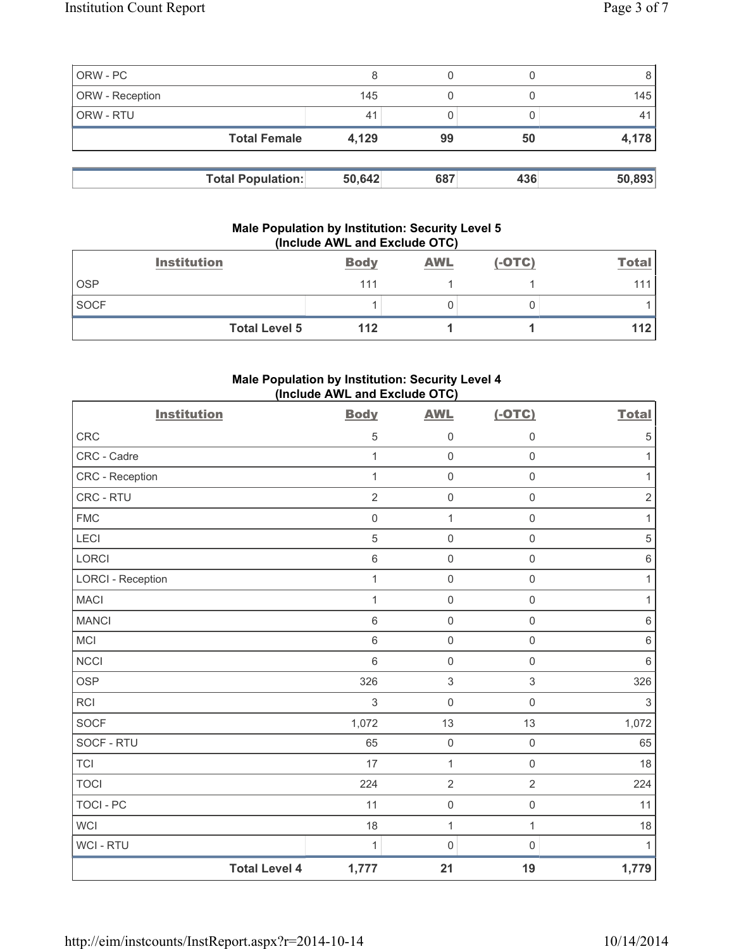| ORW - PC        |                          |        |     |     |        |
|-----------------|--------------------------|--------|-----|-----|--------|
| ORW - Reception |                          | 145    |     |     | 145    |
| ORW - RTU       |                          | 41     |     |     |        |
|                 | <b>Total Female</b>      | 4,129  | 99  | 50  | 4,178  |
|                 |                          |        |     |     |        |
|                 | <b>Total Population:</b> | 50,642 | 687 | 436 | 50,893 |

### **Male Population by Institution: Security Level 5 (Include AWL and Exclude OTC)**

|             | <b>Institution</b>   | <b>Body</b> | <b>AWL</b> | $(-OTC)$ | <b>Total</b> |
|-------------|----------------------|-------------|------------|----------|--------------|
| <b>OSP</b>  |                      | 111         |            |          | 111          |
| <b>SOCF</b> |                      |             |            |          |              |
|             | <b>Total Level 5</b> | 112         |            |          | 112          |

# **Male Population by Institution: Security Level 4 (Include AWL and Exclude OTC)**

| <b>Institution</b>       |                      | <b>Body</b>    | <b>AWL</b>          | $(-OTC)$            | <b>Total</b>   |
|--------------------------|----------------------|----------------|---------------------|---------------------|----------------|
| <b>CRC</b>               |                      | 5              | $\mathsf 0$         | $\mathbf 0$         | $\sqrt{5}$     |
| CRC - Cadre              |                      | $\mathbf{1}$   | $\mathsf{O}\xspace$ | $\mathsf 0$         | 1              |
| CRC - Reception          |                      | $\mathbf{1}$   | $\mathsf{O}\xspace$ | $\mathsf{O}\xspace$ | $\mathbf{1}$   |
| CRC - RTU                |                      | $\overline{2}$ | $\mathbf 0$         | $\mathsf 0$         | $\overline{2}$ |
| <b>FMC</b>               |                      | $\mathbf 0$    | $\mathbf{1}$        | $\mathsf 0$         | $\mathbf{1}$   |
| LECI                     |                      | 5              | $\mathbf 0$         | $\mathsf{O}\xspace$ | $\sqrt{5}$     |
| <b>LORCI</b>             |                      | $\,6$          | $\mathsf{O}\xspace$ | $\mathsf{O}\xspace$ | $\,6\,$        |
| <b>LORCI - Reception</b> |                      | $\mathbf{1}$   | $\mathbf 0$         | $\mathsf{O}\xspace$ | $\mathbf{1}$   |
| <b>MACI</b>              |                      | 1              | $\mathbf 0$         | $\mathsf{O}\xspace$ | 1              |
| <b>MANCI</b>             |                      | $\,6\,$        | $\mathsf{O}\xspace$ | $\mathsf{O}\xspace$ | $\,6\,$        |
| <b>MCI</b>               |                      | $\,6$          | $\mathsf{O}\xspace$ | $\mathsf{O}\xspace$ | $\,6$          |
| <b>NCCI</b>              |                      | $6\,$          | $\mathsf 0$         | $\mathsf{O}\xspace$ | $6\phantom{1}$ |
| <b>OSP</b>               |                      | 326            | $\mathsf 3$         | $\mathsf 3$         | 326            |
| <b>RCI</b>               |                      | 3              | $\mathbf 0$         | $\mathsf{O}\xspace$ | 3              |
| <b>SOCF</b>              |                      | 1,072          | 13                  | 13                  | 1,072          |
| SOCF - RTU               |                      | 65             | $\mathbf 0$         | $\mathsf{O}\xspace$ | 65             |
| <b>TCI</b>               |                      | 17             | $\mathbf 1$         | $\mathsf{O}\xspace$ | 18             |
| <b>TOCI</b>              |                      | 224            | $\overline{2}$      | $\overline{2}$      | 224            |
| <b>TOCI - PC</b>         |                      | 11             | $\mathsf 0$         | $\mathsf{O}\xspace$ | 11             |
| <b>WCI</b>               |                      | 18             | $\mathbf{1}$        | $\mathbf{1}$        | 18             |
| <b>WCI-RTU</b>           |                      | 1              | $\mathsf{O}\xspace$ | $\mathsf 0$         | 1              |
|                          | <b>Total Level 4</b> | 1,777          | 21                  | 19                  | 1,779          |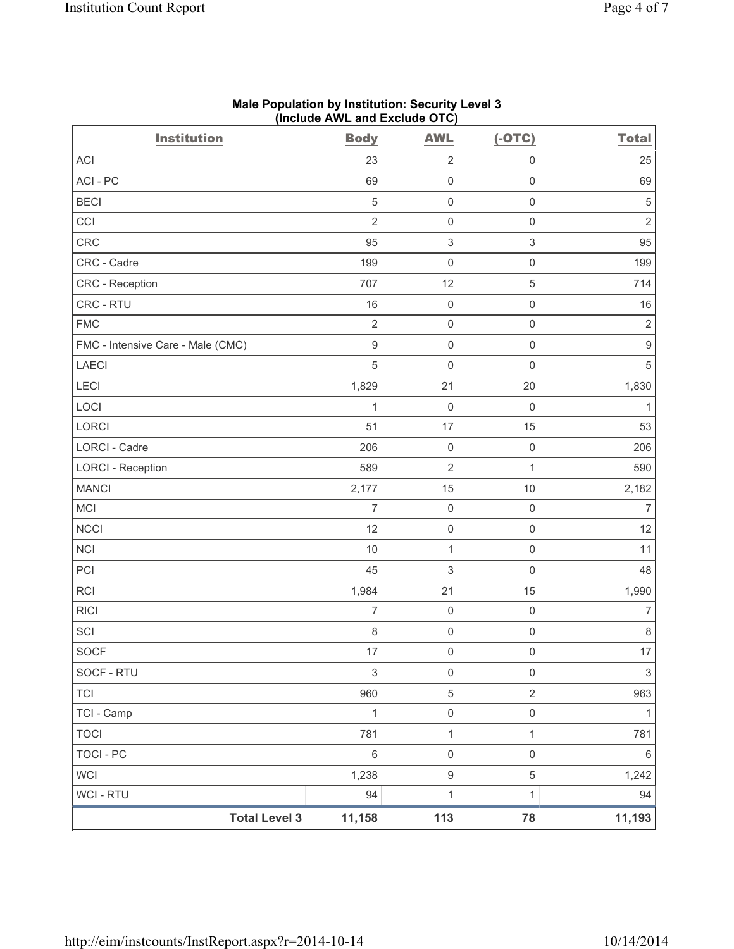| <b>Institution</b>                | (include AVVL and Exclude $O(O)$<br><b>Body</b> | <b>AWL</b>          | $(-OTC)$            | <b>Total</b>     |
|-----------------------------------|-------------------------------------------------|---------------------|---------------------|------------------|
| ACI                               | 23                                              | $\overline{2}$      | 0                   | 25               |
| ACI-PC                            | 69                                              | $\mathbf 0$         | $\mathsf{O}\xspace$ | 69               |
| <b>BECI</b>                       | $\sqrt{5}$                                      | $\mathsf{O}\xspace$ | $\mathsf{O}\xspace$ | 5                |
| CCI                               | $\overline{2}$                                  | $\mathsf{O}\xspace$ | $\mathsf{O}\xspace$ | $\overline{2}$   |
| <b>CRC</b>                        | 95                                              | 3                   | $\sqrt{3}$          | 95               |
| CRC - Cadre                       | 199                                             | $\mathsf{O}\xspace$ | $\mathsf{O}\xspace$ | 199              |
| CRC - Reception                   | 707                                             | 12                  | $\sqrt{5}$          | 714              |
| CRC - RTU                         | 16                                              | $\mathsf{O}\xspace$ | $\mathsf{O}\xspace$ | 16               |
| <b>FMC</b>                        | $\sqrt{2}$                                      | $\mathsf{O}\xspace$ | $\mathsf{O}\xspace$ | $\sqrt{2}$       |
| FMC - Intensive Care - Male (CMC) | $\hbox{9}$                                      | $\mathbf 0$         | $\mathsf{O}\xspace$ | $\boldsymbol{9}$ |
| <b>LAECI</b>                      | $\sqrt{5}$                                      | $\mathbf 0$         | $\mathsf 0$         | $\sqrt{5}$       |
| LECI                              | 1,829                                           | 21                  | 20                  | 1,830            |
| LOCI                              | $\mathbf 1$                                     | $\mathsf{O}\xspace$ | $\mathsf 0$         | $\mathbf{1}$     |
| LORCI                             | 51                                              | 17                  | 15                  | 53               |
| LORCI - Cadre                     | 206                                             | $\mathbf 0$         | $\mathsf{O}\xspace$ | 206              |
| <b>LORCI - Reception</b>          | 589                                             | $\overline{2}$      | $\mathbf{1}$        | 590              |
| <b>MANCI</b>                      | 2,177                                           | 15                  | $10$                | 2,182            |
| MCI                               | $\overline{7}$                                  | $\mathbf 0$         | $\mathsf{O}\xspace$ | 7                |
| <b>NCCI</b>                       | 12                                              | $\mathsf{O}\xspace$ | $\mathsf{O}\xspace$ | 12               |
| <b>NCI</b>                        | 10                                              | $\mathbf{1}$        | $\mathsf{O}\xspace$ | 11               |
| PCI                               | 45                                              | 3                   | $\mathsf{O}\xspace$ | 48               |
| RCI                               | 1,984                                           | 21                  | 15                  | 1,990            |
| <b>RICI</b>                       | $\boldsymbol{7}$                                | $\mathbf 0$         | $\mathsf{O}\xspace$ | $\overline{7}$   |
| SCI                               | $\,8\,$                                         | $\mathsf{O}\xspace$ | $\mathsf{O}\xspace$ | $\,8\,$          |
| SOCF                              | 17                                              | $\mathbf 0$         | $\mathsf{O}\xspace$ | 17               |
| SOCF - RTU                        | $\mathfrak{S}$                                  | $\mathsf{O}\xspace$ | $\mathsf{O}\xspace$ | 3                |
| <b>TCI</b>                        | 960                                             | $\mathbf 5$         | $\sqrt{2}$          | 963              |
| TCI - Camp                        | $\mathbf{1}$                                    | $\mathsf{O}\xspace$ | $\mathsf{O}\xspace$ | $\mathbf{1}$     |
| <b>TOCI</b>                       | 781                                             | $\mathbf 1$         | $\mathbf{1}$        | 781              |
| <b>TOCI - PC</b>                  | 6                                               | $\mathsf{O}\xspace$ | $\mathsf{O}\xspace$ | 6                |
| WCI                               | 1,238                                           | $\boldsymbol{9}$    | $\,$ 5 $\,$         | 1,242            |
| <b>WCI - RTU</b>                  | 94                                              | $\mathbf{1}$        | 1                   | 94               |
| <b>Total Level 3</b>              | 11,158                                          | 113                 | 78                  | 11,193           |

#### **Male Population by Institution: Security Level 3 (Include AWL and Exclude OTC)**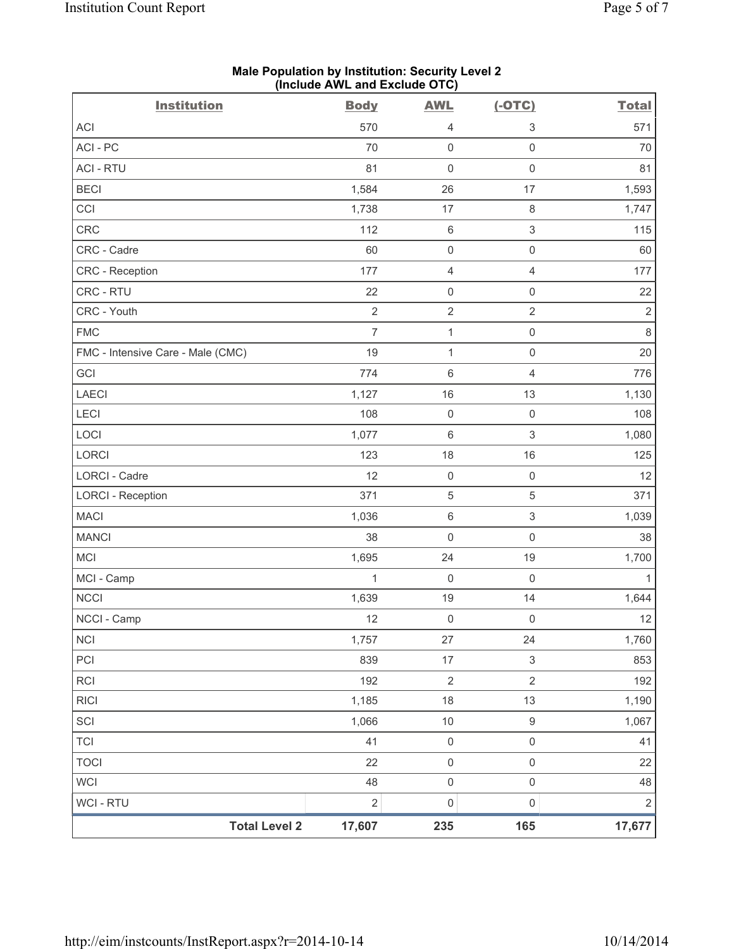| <b>Institution</b>                | <b>Body</b>    | <b>AWL</b>          | $(-OTC)$                  | <b>Total</b> |
|-----------------------------------|----------------|---------------------|---------------------------|--------------|
| <b>ACI</b>                        | 570            | 4                   | $\ensuremath{\mathsf{3}}$ | 571          |
| ACI-PC                            | 70             | $\mathsf 0$         | $\mathsf{O}\xspace$       | 70           |
| <b>ACI - RTU</b>                  | 81             | $\mathsf{O}\xspace$ | $\mathsf 0$               | 81           |
| <b>BECI</b>                       | 1,584          | 26                  | 17                        | 1,593        |
| CCI                               | 1,738          | 17                  | $\,8\,$                   | 1,747        |
| CRC                               | 112            | $\,6\,$             | $\ensuremath{\mathsf{3}}$ | 115          |
| CRC - Cadre                       | 60             | $\mathsf{O}\xspace$ | $\mathsf{O}\xspace$       | 60           |
| <b>CRC</b> - Reception            | 177            | 4                   | $\overline{4}$            | 177          |
| CRC - RTU                         | 22             | $\mathbf 0$         | $\mathsf{O}\xspace$       | 22           |
| CRC - Youth                       | $\sqrt{2}$     | $\sqrt{2}$          | $\overline{2}$            | $\sqrt{2}$   |
| <b>FMC</b>                        | $\overline{7}$ | $\mathbf{1}$        | $\mathsf{O}\xspace$       | $\,8\,$      |
| FMC - Intensive Care - Male (CMC) | 19             | $\mathbf{1}$        | $\mathsf{O}\xspace$       | 20           |
| GCI                               | 774            | $\,6\,$             | $\overline{4}$            | 776          |
| <b>LAECI</b>                      | 1,127          | 16                  | 13                        | 1,130        |
| LECI                              | 108            | $\mathsf{O}\xspace$ | $\mathsf{O}\xspace$       | 108          |
| LOCI                              | 1,077          | $\,6\,$             | $\,$ 3 $\,$               | 1,080        |
| LORCI                             | 123            | 18                  | 16                        | 125          |
| LORCI - Cadre                     | 12             | $\mathsf 0$         | $\mathsf{O}\xspace$       | 12           |
| <b>LORCI - Reception</b>          | 371            | $\sqrt{5}$          | 5                         | 371          |
| <b>MACI</b>                       | 1,036          | $\,6$               | $\mathsf 3$               | 1,039        |
| <b>MANCI</b>                      | 38             | $\mathsf{O}\xspace$ | $\mathsf{O}\xspace$       | 38           |
| <b>MCI</b>                        | 1,695          | 24                  | 19                        | 1,700        |
| MCI - Camp                        | 1              | $\mathbf 0$         | $\mathsf{O}\xspace$       | $\mathbf{1}$ |
| <b>NCCI</b>                       | 1,639          | 19                  | 14                        | 1,644        |
| NCCI - Camp                       | 12             | $\mathsf{O}\xspace$ | $\mathsf{O}\xspace$       | 12           |
| <b>NCI</b>                        | 1,757          | 27                  | 24                        | 1,760        |
| PCI                               | 839            | 17                  | $\ensuremath{\mathsf{3}}$ | 853          |
| <b>RCI</b>                        | 192            | $\sqrt{2}$          | $\overline{2}$            | 192          |
| <b>RICI</b>                       | 1,185          | 18                  | 13                        | 1,190        |
| SCI                               | 1,066          | $10$                | $\boldsymbol{9}$          | 1,067        |
| <b>TCI</b>                        | 41             | $\mathsf{O}\xspace$ | $\mathsf{O}\xspace$       | 41           |
| <b>TOCI</b>                       | 22             | $\mathsf{O}\xspace$ | $\mathsf{O}\xspace$       | 22           |
| <b>WCI</b>                        | 48             | $\mathsf{O}\xspace$ | $\mathsf{O}\xspace$       | 48           |
| <b>WCI - RTU</b>                  | $\sqrt{2}$     | $\mathbf 0$         | $\mathsf{O}\xspace$       | $\sqrt{2}$   |
| <b>Total Level 2</b>              | 17,607         | 235                 | 165                       | 17,677       |

#### **Male Population by Institution: Security Level 2 (Include AWL and Exclude OTC)**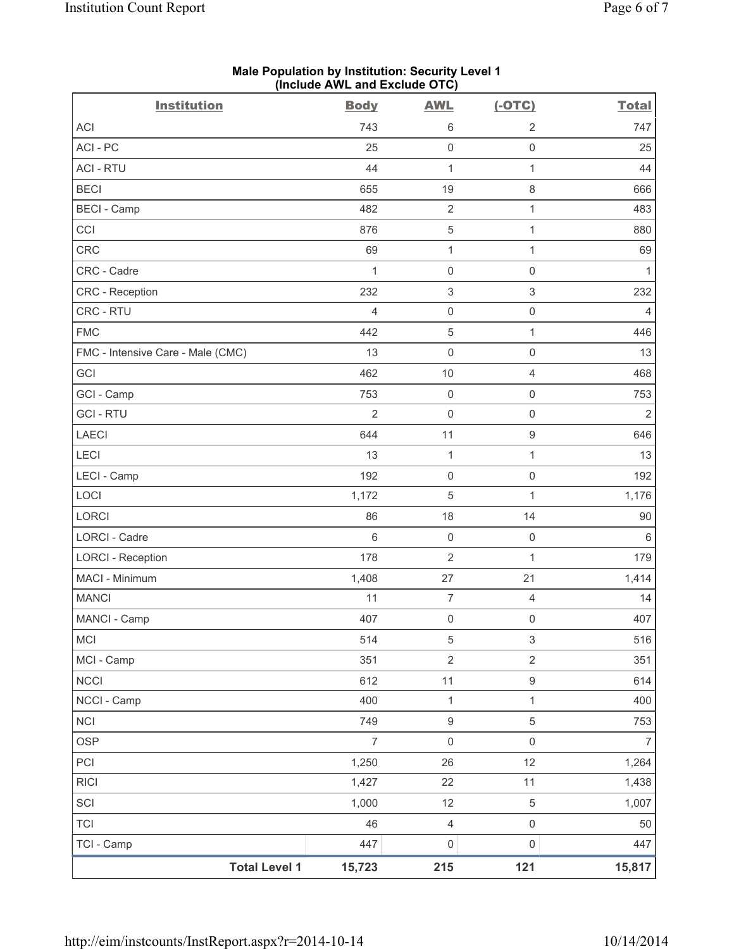| (include AVVL and Exclude OTO)    |                |                     |                     |                |  |
|-----------------------------------|----------------|---------------------|---------------------|----------------|--|
| <b>Institution</b>                | <b>Body</b>    | <b>AWL</b>          | $(-OTC)$            | <b>Total</b>   |  |
| <b>ACI</b>                        | 743            | 6                   | $\overline{2}$      | 747            |  |
| ACI-PC                            | 25             | $\mathsf 0$         | $\mathsf{O}\xspace$ | 25             |  |
| <b>ACI - RTU</b>                  | 44             | 1                   | $\mathbf{1}$        | 44             |  |
| <b>BECI</b>                       | 655            | 19                  | $\,8\,$             | 666            |  |
| <b>BECI - Camp</b>                | 482            | $\sqrt{2}$          | 1                   | 483            |  |
| CCI                               | 876            | $\mathbf 5$         | $\mathbf{1}$        | 880            |  |
| CRC                               | 69             | $\mathbf{1}$        | 1                   | 69             |  |
| CRC - Cadre                       | $\mathbf{1}$   | $\mathbf 0$         | $\mathsf{O}\xspace$ | $\mathbf{1}$   |  |
| CRC - Reception                   | 232            | $\,$ 3 $\,$         | $\,$ 3 $\,$         | 232            |  |
| CRC - RTU                         | $\overline{4}$ | $\mathsf{O}\xspace$ | $\mathsf{O}\xspace$ | $\overline{4}$ |  |
| <b>FMC</b>                        | 442            | $\,$ 5 $\,$         | $\mathbf{1}$        | 446            |  |
| FMC - Intensive Care - Male (CMC) | 13             | $\mathsf{O}\xspace$ | $\mathsf{O}\xspace$ | 13             |  |
| GCI                               | 462            | 10                  | $\overline{4}$      | 468            |  |
| GCI - Camp                        | 753            | $\mathbf 0$         | $\mathsf{O}\xspace$ | 753            |  |
| <b>GCI-RTU</b>                    | $\overline{2}$ | $\mathsf{O}\xspace$ | $\mathsf{O}\xspace$ | $\overline{2}$ |  |
| <b>LAECI</b>                      | 644            | 11                  | $\hbox{9}$          | 646            |  |
| LECI                              | 13             | $\mathbf 1$         | 1                   | 13             |  |
| LECI - Camp                       | 192            | $\mathbf 0$         | $\mathsf{O}\xspace$ | 192            |  |
| LOCI                              | 1,172          | 5                   | 1                   | 1,176          |  |
| LORCI                             | 86             | 18                  | 14                  | 90             |  |
| <b>LORCI - Cadre</b>              | $6\phantom{1}$ | $\mathbf 0$         | $\mathsf{O}\xspace$ | $\,6\,$        |  |
| <b>LORCI - Reception</b>          | 178            | $\overline{2}$      | $\mathbf{1}$        | 179            |  |
| MACI - Minimum                    | 1,408          | 27                  | 21                  | 1,414          |  |
| <b>MANCI</b>                      | 11             | $\overline{7}$      | $\overline{4}$      | 14             |  |
| MANCI - Camp                      | 407            | $\mathsf{O}\xspace$ | $\mathsf{O}\xspace$ | 407            |  |
| <b>MCI</b>                        | 514            | $\,$ 5 $\,$         | $\mathsf 3$         | 516            |  |
| MCI - Camp                        | 351            | $\sqrt{2}$          | $\overline{2}$      | 351            |  |
| <b>NCCI</b>                       | 612            | 11                  | $\boldsymbol{9}$    | 614            |  |
| NCCI - Camp                       | 400            | $\mathbf 1$         | $\mathbf{1}$        | 400            |  |
| <b>NCI</b>                        | 749            | $\boldsymbol{9}$    | $\,$ 5 $\,$         | 753            |  |
| <b>OSP</b>                        | $\overline{7}$ | $\mathsf{O}\xspace$ | $\mathsf{O}\xspace$ | $\overline{7}$ |  |
| PCI                               | 1,250          | 26                  | 12                  | 1,264          |  |
| <b>RICI</b>                       | 1,427          | 22                  | 11                  | 1,438          |  |
| SCI                               | 1,000          | 12                  | 5                   | 1,007          |  |
| <b>TCI</b>                        | 46             | $\overline{4}$      | $\mathsf{O}\xspace$ | 50             |  |
| TCI - Camp                        | 447            | $\mathsf{O}\xspace$ | $\mathsf{O}\xspace$ | 447            |  |
| <b>Total Level 1</b>              | 15,723         | 215                 | 121                 | 15,817         |  |

#### **Male Population by Institution: Security Level 1 (Include AWL and Exclude OTC)**